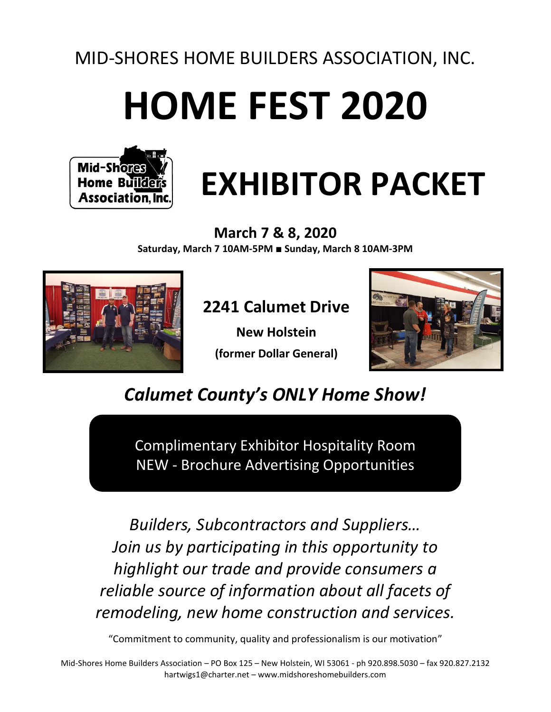# MID-SHORES HOME BUILDERS ASSOCIATION, INC.

# **HOME FEST 2020**



# **EXHIBITOR PACKET**

**March 7 & 8, 2020 Saturday, March 7 10AM-5PM** ■ **Sunday, March 8 10AM-3PM**



# **2241 Calumet Drive**

**New Holstein (former Dollar General)**



*Calumet County's ONLY Home Show!*

Complimentary Exhibitor Hospitality Room NEW - Brochure Advertising Opportunities

*Builders, Subcontractors and Suppliers… Join us by participating in this opportunity to highlight our trade and provide consumers a reliable source of information about all facets of remodeling, new home construction and services.*

"Commitment to community, quality and professionalism is our motivation"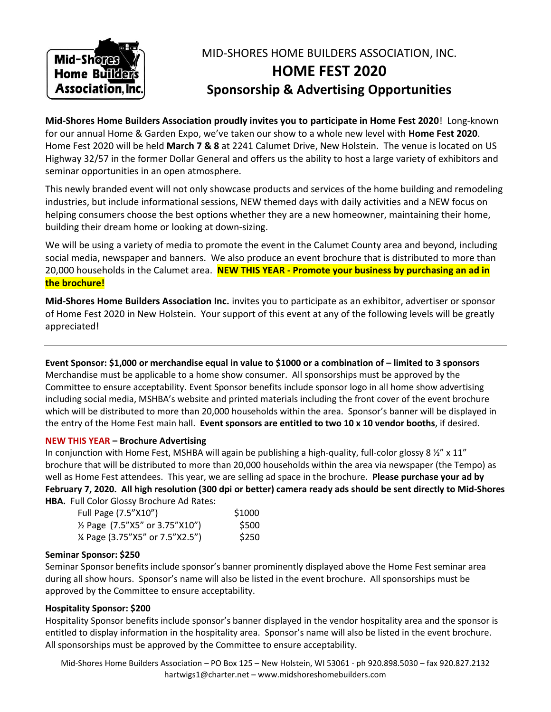

# MID-SHORES HOME BUILDERS ASSOCIATION, INC. **HOME FEST 2020 Sponsorship & Advertising Opportunities**

**Mid-Shores Home Builders Association proudly invites you to participate in Home Fest 2020**! Long-known for our annual Home & Garden Expo, we've taken our show to a whole new level with **Home Fest 2020**. Home Fest 2020 will be held **March 7 & 8** at 2241 Calumet Drive, New Holstein. The venue is located on US Highway 32/57 in the former Dollar General and offers us the ability to host a large variety of exhibitors and seminar opportunities in an open atmosphere.

This newly branded event will not only showcase products and services of the home building and remodeling industries, but include informational sessions, NEW themed days with daily activities and a NEW focus on helping consumers choose the best options whether they are a new homeowner, maintaining their home, building their dream home or looking at down-sizing.

We will be using a variety of media to promote the event in the Calumet County area and beyond, including social media, newspaper and banners. We also produce an event brochure that is distributed to more than 20,000 households in the Calumet area. **NEW THIS YEAR - Promote your business by purchasing an ad in the brochure!**

**Mid-Shores Home Builders Association Inc.** invites you to participate as an exhibitor, advertiser or sponsor of Home Fest 2020 in New Holstein. Your support of this event at any of the following levels will be greatly appreciated!

**Event Sponsor: \$1,000 or merchandise equal in value to \$1000 or a combination of – limited to 3 sponsors** Merchandise must be applicable to a home show consumer. All sponsorships must be approved by the Committee to ensure acceptability. Event Sponsor benefits include sponsor logo in all home show advertising including social media, MSHBA's website and printed materials including the front cover of the event brochure which will be distributed to more than 20,000 households within the area. Sponsor's banner will be displayed in the entry of the Home Fest main hall. **Event sponsors are entitled to two 10 x 10 vendor booths**, if desired.

#### **NEW THIS YEAR – Brochure Advertising**

In conjunction with Home Fest, MSHBA will again be publishing a high-quality, full-color glossy 8  $\frac{1}{2}$ " x 11" brochure that will be distributed to more than 20,000 households within the area via newspaper (the Tempo) as well as Home Fest attendees. This year, we are selling ad space in the brochure. **Please purchase your ad by February 7, 2020. All high resolution (300 dpi or better) camera ready ads should be sent directly to Mid-Shores HBA.** Full Color Glossy Brochure Ad Rates:

| Full Page (7.5"X10")                        | \$1000 |
|---------------------------------------------|--------|
| 1/ <sub>2</sub> Page (7.5"X5" or 3.75"X10") | \$500  |
| % Page (3.75"X5" or 7.5"X2.5")              | \$250  |

#### **Seminar Sponsor: \$250**

Seminar Sponsor benefits include sponsor's banner prominently displayed above the Home Fest seminar area during all show hours. Sponsor's name will also be listed in the event brochure. All sponsorships must be approved by the Committee to ensure acceptability.

### **Hospitality Sponsor: \$200**

Hospitality Sponsor benefits include sponsor's banner displayed in the vendor hospitality area and the sponsor is entitled to display information in the hospitality area. Sponsor's name will also be listed in the event brochure. All sponsorships must be approved by the Committee to ensure acceptability.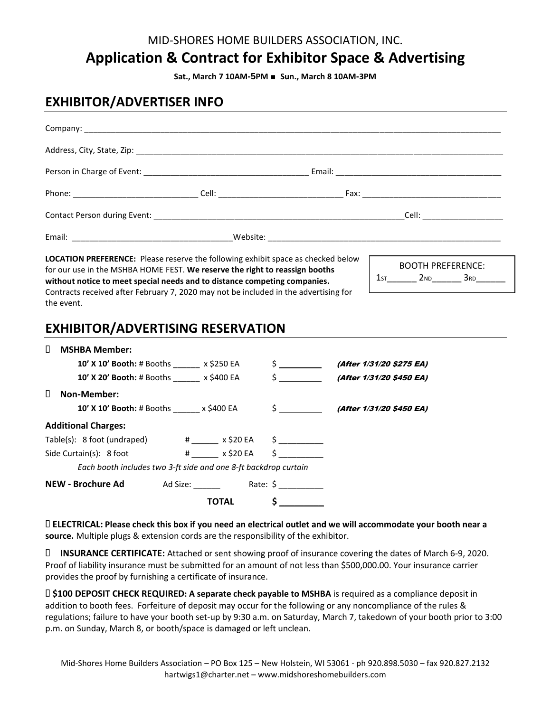## MID-SHORES HOME BUILDERS ASSOCIATION, INC.

# **Application & Contract for Exhibitor Space & Advertising**

**Sat., March 7 10AM-5PM** ■ **Sun., March 8 10AM-3PM**

## **EXHIBITOR/ADVERTISER INFO**

| the event. | without notice to meet special needs and to distance competing companies.<br>Contracts received after February 7, 2020 may not be included in the advertising for<br><b>EXHIBITOR/ADVERTISING RESERVATION</b> |  |               |                              |                          |  |
|------------|---------------------------------------------------------------------------------------------------------------------------------------------------------------------------------------------------------------|--|---------------|------------------------------|--------------------------|--|
| П.         | <b>MSHBA Member:</b>                                                                                                                                                                                          |  |               |                              |                          |  |
|            | 10' X 10' Booth: # Booths ________ x \$250 EA                                                                                                                                                                 |  | $\frac{1}{2}$ |                              | (After 1/31/20 \$275 EA) |  |
|            | 10' X 20' Booth: # Booths ______ x \$400 EA                                                                                                                                                                   |  | $\sharp$      |                              | (After 1/31/20 \$450 EA) |  |
| П.         | Non-Member:                                                                                                                                                                                                   |  |               |                              |                          |  |
|            | 10' X 10' Booth: # Booths ______ x \$400 EA                                                                                                                                                                   |  |               | $$$ (After 1/31/20 \$450 EA) |                          |  |
|            | <b>Additional Charges:</b>                                                                                                                                                                                    |  |               |                              |                          |  |

| 10' X 10' Booth: # Booths x \$250 EA<br>10' X 20' Booth: # Booths ______ x \$400 EA |       | $\frac{1}{2}$<br>$\frac{1}{2}$ | (After 1/31/20 \$275 EA)<br>(After 1/31/20 \$450 EA) |  |  |  |  |  |  |
|-------------------------------------------------------------------------------------|-------|--------------------------------|------------------------------------------------------|--|--|--|--|--|--|
| Non-Member:<br>$\mathbf{H}$                                                         |       |                                |                                                      |  |  |  |  |  |  |
| $10'$ X 10' Booth: # Booths $x \leq 400$ EA                                         |       |                                | $\text{S}$ (After 1/31/20 \$450 EA)                  |  |  |  |  |  |  |
| <b>Additional Charges:</b>                                                          |       |                                |                                                      |  |  |  |  |  |  |
| Table(s): 8 foot (undraped) $\qquad$ # $\qquad$ x \$20 EA $\qquad$ \$               |       |                                |                                                      |  |  |  |  |  |  |
| Side Curtain(s): 8 foot #____ x \$20 EA                                             |       | $\sim$ $\sim$                  |                                                      |  |  |  |  |  |  |
| Each booth includes two 3-ft side and one 8-ft backdrop curtain                     |       |                                |                                                      |  |  |  |  |  |  |
| NEW - Brochure Ad                                                                   |       | Ad Size: Rate: \$              |                                                      |  |  |  |  |  |  |
|                                                                                     | TOTAL | $\mathsf{\$}$                  |                                                      |  |  |  |  |  |  |

 **ELECTRICAL: Please check this box if you need an electrical outlet and we will accommodate your booth near a source.** Multiple plugs & extension cords are the responsibility of the exhibitor.

 **INSURANCE CERTIFICATE:** Attached or sent showing proof of insurance covering the dates of March 6-9, 2020. Proof of liability insurance must be submitted for an amount of not less than \$500,000.00. Your insurance carrier provides the proof by furnishing a certificate of insurance.

 **\$100 DEPOSIT CHECK REQUIRED: A separate check payable to MSHBA** is required as a compliance deposit in addition to booth fees. Forfeiture of deposit may occur for the following or any noncompliance of the rules & regulations; failure to have your booth set-up by 9:30 a.m. on Saturday, March 7, takedown of your booth prior to 3:00 p.m. on Sunday, March 8, or booth/space is damaged or left unclean.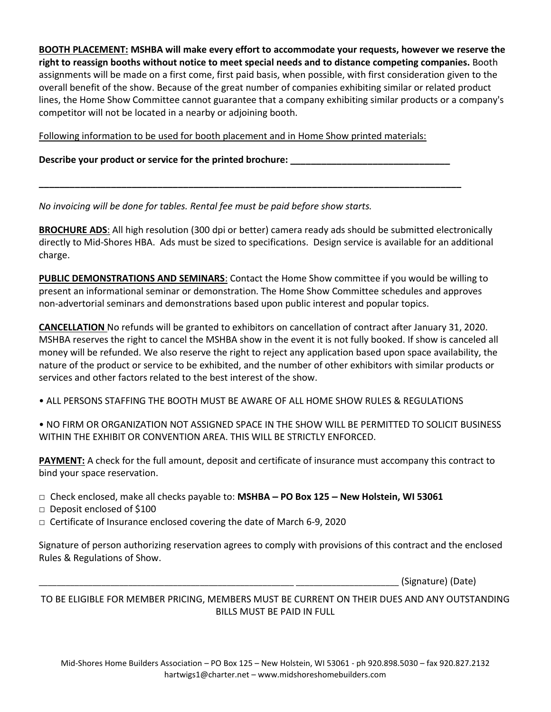**BOOTH PLACEMENT: MSHBA will make every effort to accommodate your requests, however we reserve the right to reassign booths without notice to meet special needs and to distance competing companies.** Booth assignments will be made on a first come, first paid basis, when possible, with first consideration given to the overall benefit of the show. Because of the great number of companies exhibiting similar or related product lines, the Home Show Committee cannot guarantee that a company exhibiting similar products or a company's competitor will not be located in a nearby or adjoining booth.

Following information to be used for booth placement and in Home Show printed materials:

**\_\_\_\_\_\_\_\_\_\_\_\_\_\_\_\_\_\_\_\_\_\_\_\_\_\_\_\_\_\_\_\_\_\_\_\_\_\_\_\_\_\_\_\_\_\_\_\_\_\_\_\_\_\_\_\_\_\_\_\_\_\_\_\_\_\_\_\_\_\_\_\_\_\_\_\_\_\_\_\_\_\_**

**Describe your product or service for the printed brochure: \_\_\_\_\_\_\_\_\_\_\_\_\_\_\_\_\_\_\_\_\_\_\_\_\_\_\_\_\_\_\_**

*No invoicing will be done for tables. Rental fee must be paid before show starts.*

**BROCHURE ADS**: All high resolution (300 dpi or better) camera ready ads should be submitted electronically directly to Mid-Shores HBA. Ads must be sized to specifications. Design service is available for an additional charge.

**PUBLIC DEMONSTRATIONS AND SEMINARS**: Contact the Home Show committee if you would be willing to present an informational seminar or demonstration. The Home Show Committee schedules and approves non‐advertorial seminars and demonstrations based upon public interest and popular topics.

**CANCELLATION** No refunds will be granted to exhibitors on cancellation of contract after January 31, 2020. MSHBA reserves the right to cancel the MSHBA show in the event it is not fully booked. If show is canceled all money will be refunded. We also reserve the right to reject any application based upon space availability, the nature of the product or service to be exhibited, and the number of other exhibitors with similar products or services and other factors related to the best interest of the show.

• ALL PERSONS STAFFING THE BOOTH MUST BE AWARE OF ALL HOME SHOW RULES & REGULATIONS

• NO FIRM OR ORGANIZATION NOT ASSIGNED SPACE IN THE SHOW WILL BE PERMITTED TO SOLICIT BUSINESS WITHIN THE EXHIBIT OR CONVENTION AREA. THIS WILL BE STRICTLY ENFORCED.

**PAYMENT:** A check for the full amount, deposit and certificate of insurance must accompany this contract to bind your space reservation.

- □ Check enclosed, make all checks payable to: **MSHBA – PO Box 125 – New Holstein, WI 53061**
- □ Deposit enclosed of \$100
- $\Box$  Certificate of Insurance enclosed covering the date of March 6-9, 2020

Signature of person authorizing reservation agrees to comply with provisions of this contract and the enclosed Rules & Regulations of Show.

\_\_\_\_\_\_\_\_\_\_\_\_\_\_\_\_\_\_\_\_\_\_\_\_\_\_\_\_\_\_\_\_\_\_\_\_\_\_\_\_\_\_\_\_\_\_\_\_\_\_\_\_\_\_\_\_\_ \_\_\_\_\_\_\_\_\_\_\_\_\_\_\_\_\_\_\_\_\_\_\_ (Signature) (Date)

TO BE ELIGIBLE FOR MEMBER PRICING, MEMBERS MUST BE CURRENT ON THEIR DUES AND ANY OUTSTANDING BILLS MUST BE PAID IN FULL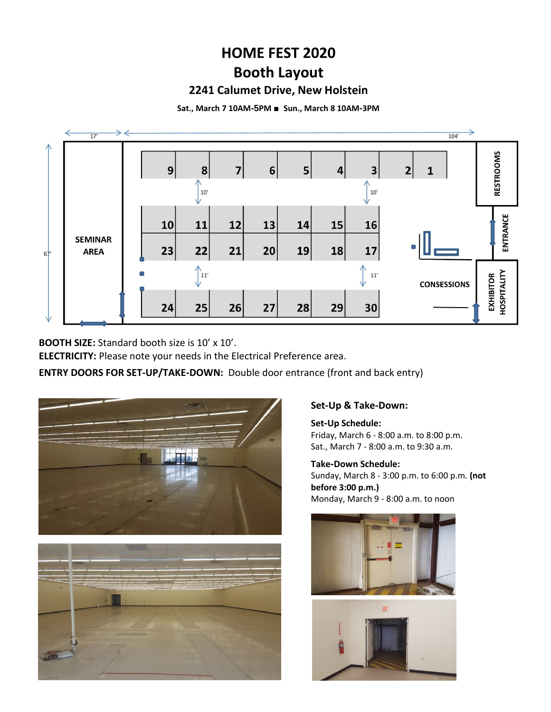# **HOME FEST 2020 Booth Layout**

## **2241 Calumet Drive, New Holstein**

**Sat., March 7 10AM-5PM** ■ **Sun., March 8 10AM-3PM**



**BOOTH SIZE:** Standard booth size is 10' x 10'.

**ELECTRICITY:** Please note your needs in the Electrical Preference area.

**ENTRY DOORS FOR SET-UP/TAKE-DOWN:** Double door entrance (front and back entry)





## **Set-Up & Take-Down:**

**Set-Up Schedule:**  Friday, March 6 ‐ 8:00 a.m. to 8:00 p.m. Sat., March 7 ‐ 8:00 a.m. to 9:30 a.m.

**Take-Down Schedule:**  Sunday, March 8 ‐ 3:00 p.m. to 6:00 p.m. **(not before 3:00 p.m.)** Monday, March 9 ‐ 8:00 a.m. to noon



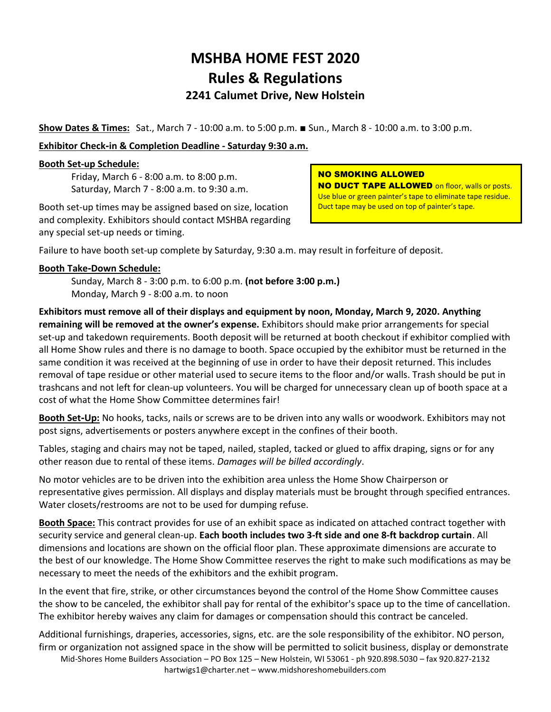# **MSHBA HOME FEST 2020 Rules & Regulations 2241 Calumet Drive, New Holstein**

**Show Dates & Times:** Sat., March 7 ‐ 10:00 a.m. to 5:00 p.m. ■ Sun., March 8 ‐ 10:00 a.m. to 3:00 p.m.

## **Exhibitor Check-in & Completion Deadline - Saturday 9:30 a.m.**

### **Booth Set-up Schedule:**

Friday, March 6 ‐ 8:00 a.m. to 8:00 p.m. Saturday, March 7 ‐ 8:00 a.m. to 9:30 a.m.

Booth set‐up times may be assigned based on size, location and complexity. Exhibitors should contact MSHBA regarding any special set‐up needs or timing.

#### NO SMOKING ALLOWED

**NO DUCT TAPE ALLOWED** on floor, walls or posts. Use blue or green painter's tape to eliminate tape residue. Duct tape may be used on top of painter's tape.

Failure to have booth set-up complete by Saturday, 9:30 a.m. may result in forfeiture of deposit.

#### **Booth Take-Down Schedule:**

Sunday, March 8 ‐ 3:00 p.m. to 6:00 p.m. **(not before 3:00 p.m.)** Monday, March 9 ‐ 8:00 a.m. to noon

**Exhibitors must remove all of their displays and equipment by noon, Monday, March 9, 2020. Anything remaining will be removed at the owner's expense.** Exhibitors should make prior arrangements for special set-up and takedown requirements. Booth deposit will be returned at booth checkout if exhibitor complied with all Home Show rules and there is no damage to booth. Space occupied by the exhibitor must be returned in the same condition it was received at the beginning of use in order to have their deposit returned. This includes removal of tape residue or other material used to secure items to the floor and/or walls. Trash should be put in trashcans and not left for clean‐up volunteers. You will be charged for unnecessary clean up of booth space at a cost of what the Home Show Committee determines fair!

**Booth Set-Up:** No hooks, tacks, nails or screws are to be driven into any walls or woodwork. Exhibitors may not post signs, advertisements or posters anywhere except in the confines of their booth.

Tables, staging and chairs may not be taped, nailed, stapled, tacked or glued to affix draping, signs or for any other reason due to rental of these items. *Damages will be billed accordingly*.

No motor vehicles are to be driven into the exhibition area unless the Home Show Chairperson or representative gives permission. All displays and display materials must be brought through specified entrances. Water closets/restrooms are not to be used for dumping refuse.

**Booth Space:** This contract provides for use of an exhibit space as indicated on attached contract together with security service and general clean‐up. **Each booth includes two 3‐ft side and one 8‐ft backdrop curtain**. All dimensions and locations are shown on the official floor plan. These approximate dimensions are accurate to the best of our knowledge. The Home Show Committee reserves the right to make such modifications as may be necessary to meet the needs of the exhibitors and the exhibit program.

In the event that fire, strike, or other circumstances beyond the control of the Home Show Committee causes the show to be canceled, the exhibitor shall pay for rental of the exhibitor's space up to the time of cancellation. The exhibitor hereby waives any claim for damages or compensation should this contract be canceled.

Mid-Shores Home Builders Association – PO Box 125 – New Holstein, WI 53061 - ph 920.898.5030 – fax 920.827-2132 [hartwigs1@charter.net](mailto:hartwigs1@charter.net) – www.midshoreshomebuilders.com Additional furnishings, draperies, accessories, signs, etc. are the sole responsibility of the exhibitor. NO person, firm or organization not assigned space in the show will be permitted to solicit business, display or demonstrate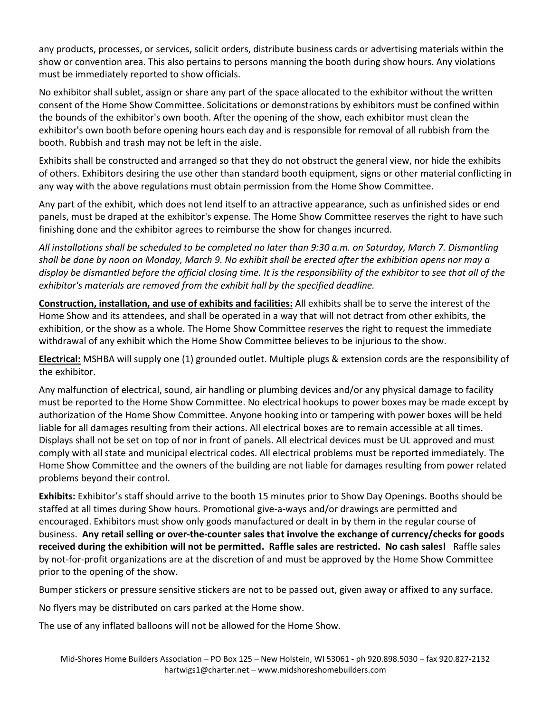any products, processes, or services, solicit orders, distribute business cards or advertising materials within the show or convention area. This also pertains to persons manning the booth during show hours. Any violations must be immediately reported to show officials.

No exhibitor shall sublet, assign or share any part of the space allocated to the exhibitor without the written consent of the Home Show Committee. Solicitations or demonstrations by exhibitors must be confined within the bounds of the exhibitor's own booth. After the opening of the show, each exhibitor must clean the exhibitor's own booth before opening hours each day and is responsible for removal of all rubbish from the booth. Rubbish and trash may not be left in the aisle.

Exhibits shall be constructed and arranged so that they do not obstruct the general view, nor hide the exhibits of others. Exhibitors desiring the use other than standard booth equipment, signs or other material conflicting in any way with the above regulations must obtain permission from the Home Show Committee.

Any part of the exhibit, which does not lend itself to an attractive appearance, such as unfinished sides or end panels, must be draped at the exhibitor's expense. The Home Show Committee reserves the right to have such finishing done and the exhibitor agrees to reimburse the show for changes incurred.

*All installations shall be scheduled to be completed no later than 9:30 a.m. on Saturday, March 7. Dismantling shall be done by noon on Monday, March 9. No exhibit shall be erected after the exhibition opens nor may a display be dismantled before the official closing time. It is the responsibility of the exhibitor to see that all of the exhibitor's materials are removed from the exhibit hall by the specified deadline.*

**Construction, installation, and use of exhibits and facilities:** All exhibits shall be to serve the interest of the Home Show and its attendees, and shall be operated in a way that will not detract from other exhibits, the exhibition, or the show as a whole. The Home Show Committee reserves the right to request the immediate withdrawal of any exhibit which the Home Show Committee believes to be injurious to the show.

**Electrical:** MSHBA will supply one (1) grounded outlet. Multiple plugs & extension cords are the responsibility of the exhibitor.

Any malfunction of electrical, sound, air handling or plumbing devices and/or any physical damage to facility must be reported to the Home Show Committee. No electrical hookups to power boxes may be made except by authorization of the Home Show Committee. Anyone hooking into or tampering with power boxes will be held liable for all damages resulting from their actions. All electrical boxes are to remain accessible at all times. Displays shall not be set on top of nor in front of panels. All electrical devices must be UL approved and must comply with all state and municipal electrical codes. All electrical problems must be reported immediately. The Home Show Committee and the owners of the building are not liable for damages resulting from power related problems beyond their control.

**Exhibits:** Exhibitor's staff should arrive to the booth 15 minutes prior to Show Day Openings. Booths should be staffed at all times during Show hours. Promotional give‐a‐ways and/or drawings are permitted and encouraged. Exhibitors must show only goods manufactured or dealt in by them in the regular course of business. **Any retail selling or over‐the‐counter sales that involve the exchange of currency/checks for goods received during the exhibition will not be permitted. Raffle sales are restricted. No cash sales!** Raffle sales by not-for-profit organizations are at the discretion of and must be approved by the Home Show Committee prior to the opening of the show.

Bumper stickers or pressure sensitive stickers are not to be passed out, given away or affixed to any surface.

No flyers may be distributed on cars parked at the Home show.

The use of any inflated balloons will not be allowed for the Home Show.